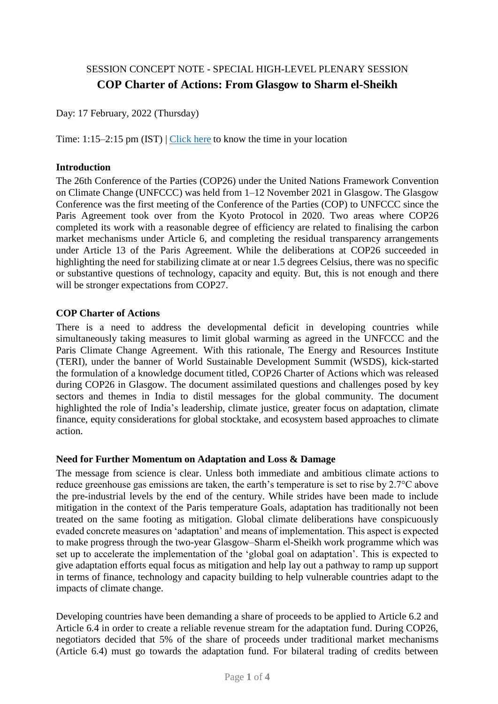# SESSION CONCEPT NOTE - SPECIAL HIGH-LEVEL PLENARY SESSION **COP Charter of Actions: From Glasgow to Sharm el-Sheikh**

Day: 17 February, 2022 (Thursday)

Time: 1:15–2:15 pm (IST)  $\vert$  [Click here](https://www.timeanddate.com/worldclock/fixedtime.html?msg=WSDS+2022+COP+Charter+Session+&iso=20220217T1315&p1=176&ah=1) to know the time in your location

#### **Introduction**

The 26th Conference of the Parties (COP26) under the United Nations Framework Convention on Climate Change (UNFCCC) was held from 1–12 November 2021 in Glasgow. The Glasgow Conference was the first meeting of the Conference of the Parties (COP) to UNFCCC since the Paris Agreement took over from the Kyoto Protocol in 2020. Two areas where COP26 completed its work with a reasonable degree of efficiency are related to finalising the carbon market mechanisms under Article 6, and completing the residual transparency arrangements under Article 13 of the Paris Agreement. While the deliberations at COP26 succeeded in highlighting the need for stabilizing climate at or near 1.5 degrees Celsius, there was no specific or substantive questions of technology, capacity and equity. But, this is not enough and there will be stronger expectations from COP27.

#### **COP Charter of Actions**

There is a need to address the developmental deficit in developing countries while simultaneously taking measures to limit global warming as agreed in the UNFCCC and the Paris Climate Change Agreement. With this rationale, The Energy and Resources Institute (TERI), under the banner of World Sustainable Development Summit (WSDS), kick-started the formulation of a knowledge document titled, COP26 Charter of Actions which was released during COP26 in Glasgow. The document assimilated questions and challenges posed by key sectors and themes in India to distil messages for the global community. The document highlighted the role of India's leadership, climate justice, greater focus on adaptation, climate finance, equity considerations for global stocktake, and ecosystem based approaches to climate action.

### **Need for Further Momentum on Adaptation and Loss & Damage**

The message from science is clear. Unless both immediate and ambitious climate actions to reduce greenhouse gas emissions are taken, the earth's temperature is set to rise by 2.7°C above the pre-industrial levels by the end of the century. While strides have been made to include mitigation in the context of the Paris temperature Goals, adaptation has traditionally not been treated on the same footing as mitigation. Global climate deliberations have conspicuously evaded concrete measures on 'adaptation' and means of implementation. This aspect is expected to make progress through the two-year Glasgow–Sharm el-Sheikh work programme which was set up to accelerate the implementation of the 'global goal on adaptation'. This is expected to give adaptation efforts equal focus as mitigation and help lay out a pathway to ramp up support in terms of finance, technology and capacity building to help vulnerable countries adapt to the impacts of climate change.

Developing countries have been demanding a share of proceeds to be applied to Article 6.2 and Article 6.4 in order to create a reliable revenue stream for the adaptation fund. During COP26, negotiators decided that 5% of the share of proceeds under traditional market mechanisms (Article 6.4) must go towards the adaptation fund. For bilateral trading of credits between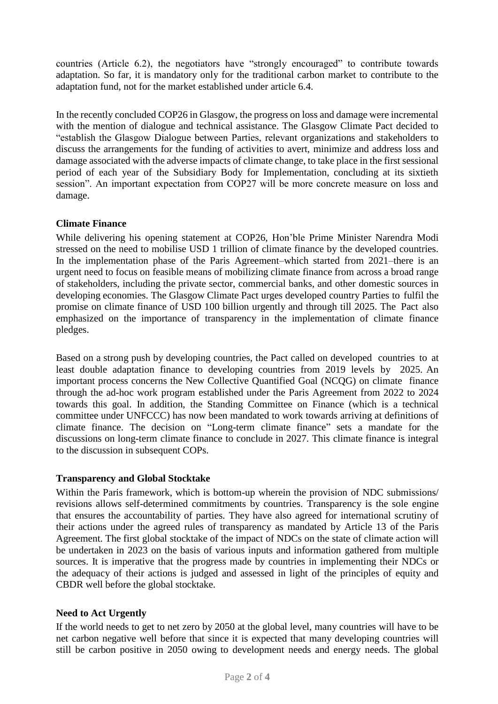countries (Article 6.2), the negotiators have "strongly encouraged" to contribute towards adaptation. So far, it is mandatory only for the traditional carbon market to contribute to the adaptation fund, not for the market established under article 6.4.

In the recently concluded COP26 in Glasgow, the progress on loss and damage were incremental with the mention of dialogue and technical assistance. The Glasgow Climate Pact decided to "establish the Glasgow Dialogue between Parties, relevant organizations and stakeholders to discuss the arrangements for the funding of activities to avert, minimize and address loss and damage associated with the adverse impacts of climate change, to take place in the first sessional period of each year of the Subsidiary Body for Implementation, concluding at its sixtieth session". An important expectation from COP27 will be more concrete measure on loss and damage.

## **Climate Finance**

While delivering his opening statement at COP26, Hon'ble Prime Minister Narendra Modi stressed on the need to mobilise USD 1 trillion of climate finance by the developed countries. In the implementation phase of the Paris Agreement–which started from 2021–there is an urgent need to focus on feasible means of mobilizing climate finance from across a broad range of stakeholders, including the private sector, commercial banks, and other domestic sources in developing economies. The Glasgow Climate Pact urges developed country Parties to fulfil the promise on climate finance of USD 100 billion urgently and through till 2025. The Pact also emphasized on the importance of transparency in the implementation of climate finance pledges.

Based on a strong push by developing countries, the Pact called on developed countries to at least double adaptation finance to developing countries from 2019 levels by 2025. An important process concerns the New Collective Quantified Goal (NCQG) on climate finance through the ad-hoc work program established under the Paris Agreement from 2022 to 2024 towards this goal. In addition, the Standing Committee on Finance (which is a technical committee under UNFCCC) has now been mandated to work towards arriving at definitions of climate finance. The decision on "Long-term climate finance" sets a mandate for the discussions on long-term climate finance to conclude in 2027. This climate finance is integral to the discussion in subsequent COPs.

### **Transparency and Global Stocktake**

Within the Paris framework, which is bottom-up wherein the provision of NDC submissions/ revisions allows self-determined commitments by countries. Transparency is the sole engine that ensures the accountability of parties. They have also agreed for international scrutiny of their actions under the agreed rules of transparency as mandated by Article 13 of the Paris Agreement. The first global stocktake of the impact of NDCs on the state of climate action will be undertaken in 2023 on the basis of various inputs and information gathered from multiple sources. It is imperative that the progress made by countries in implementing their NDCs or the adequacy of their actions is judged and assessed in light of the principles of equity and CBDR well before the global stocktake.

### **Need to Act Urgently**

If the world needs to get to net zero by 2050 at the global level, many countries will have to be net carbon negative well before that since it is expected that many developing countries will still be carbon positive in 2050 owing to development needs and energy needs. The global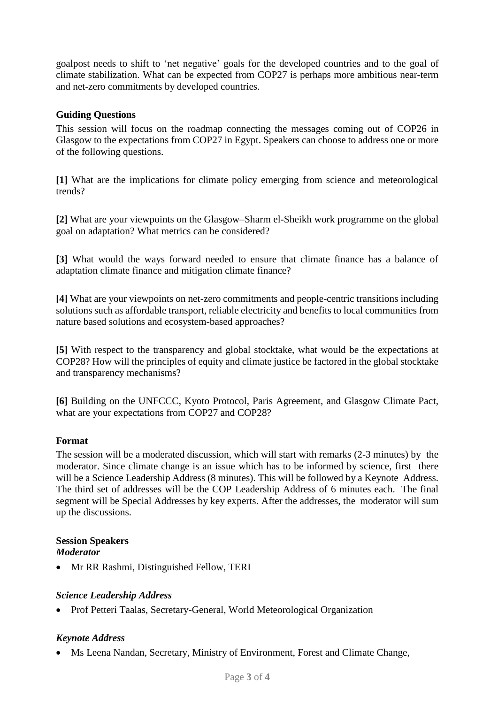goalpost needs to shift to 'net negative' goals for the developed countries and to the goal of climate stabilization. What can be expected from COP27 is perhaps more ambitious near-term and net-zero commitments by developed countries.

### **Guiding Questions**

This session will focus on the roadmap connecting the messages coming out of COP26 in Glasgow to the expectations from COP27 in Egypt. Speakers can choose to address one or more of the following questions.

**[1]** What are the implications for climate policy emerging from science and meteorological trends?

**[2]** What are your viewpoints on the Glasgow–Sharm el-Sheikh work programme on the global goal on adaptation? What metrics can be considered?

**[3]** What would the ways forward needed to ensure that climate finance has a balance of adaptation climate finance and mitigation climate finance?

**[4]** What are your viewpoints on net-zero commitments and people-centric transitions including solutions such as affordable transport, reliable electricity and benefits to local communities from nature based solutions and ecosystem-based approaches?

**[5]** With respect to the transparency and global stocktake, what would be the expectations at COP28? How will the principles of equity and climate justice be factored in the global stocktake and transparency mechanisms?

**[6]** Building on the UNFCCC, Kyoto Protocol, Paris Agreement, and Glasgow Climate Pact, what are your expectations from COP27 and COP28?

### **Format**

The session will be a moderated discussion, which will start with remarks (2-3 minutes) by the moderator. Since climate change is an issue which has to be informed by science, first there will be a Science Leadership Address (8 minutes). This will be followed by a Keynote Address. The third set of addresses will be the COP Leadership Address of 6 minutes each. The final segment will be Special Addresses by key experts. After the addresses, the moderator will sum up the discussions.

#### **Session Speakers** *Moderator*

• Mr RR Rashmi, Distinguished Fellow, TERI

### *Science Leadership Address*

Prof Petteri Taalas, Secretary-General, World Meteorological Organization

### *Keynote Address*

Ms Leena Nandan, Secretary, Ministry of Environment, Forest and Climate Change,